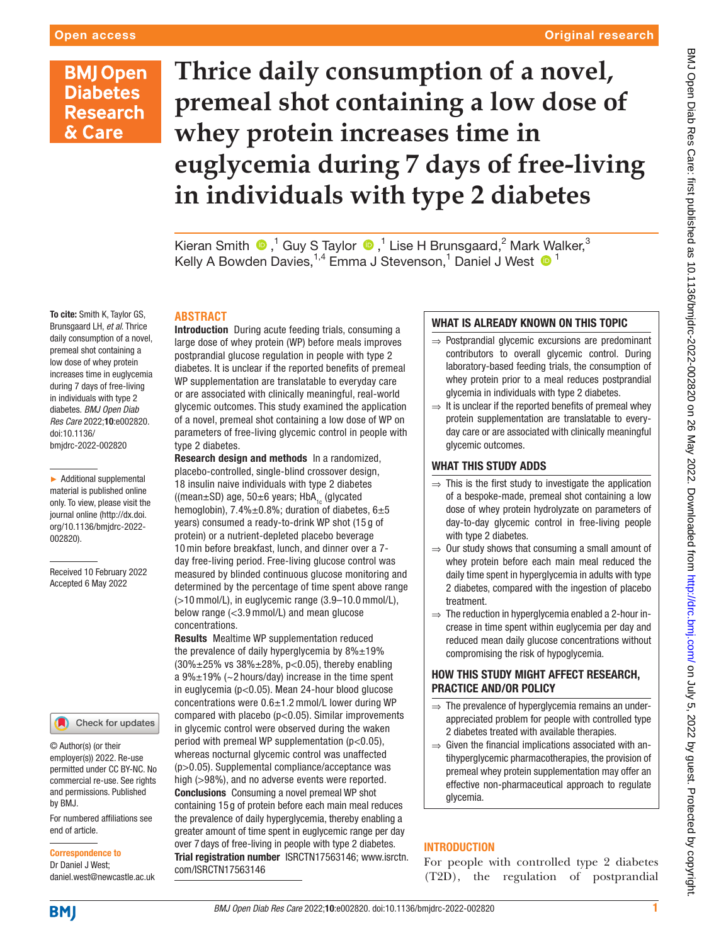## Original research

## **BMJ Open Diabetes Research** & Care

# **Thrice daily consumption of a novel, premeal shot containing a low dose of whey protein increases time in euglycemia during 7 days of free-living in individuals with type 2 diabetes**

Kieran Smith  $\bigcirc$  ,<sup>1</sup> Guy S Taylor  $\bigcirc$  ,<sup>1</sup> Lise H Brunsgaard,<sup>2</sup> Mark Walker,<sup>3</sup> Kelly A Bowden Davies, <sup>1,4</sup> Emma J Stevenson, <sup>1</sup> Daniel J West <sup>1</sup>

## **ABSTRACT**

Introduction During acute feeding trials, consuming a large dose of whey protein (WP) before meals improves postprandial glucose regulation in people with type 2 diabetes. It is unclear if the reported benefits of premeal WP supplementation are translatable to everyday care or are associated with clinically meaningful, real-world glycemic outcomes. This study examined the application of a novel, premeal shot containing a low dose of WP on parameters of free-living glycemic control in people with type 2 diabetes.

Research design and methods In a randomized, placebo-controlled, single-blind crossover design, 18 insulin naive individuals with type 2 diabetes ((mean $\pm$ SD) age, 50 $\pm$ 6 years; HbA<sub>1c</sub> (glycated hemoglobin),  $7.4\% \pm 0.8\%$ ; duration of diabetes,  $6 \pm 5$ years) consumed a ready-to-drink WP shot (15 g of protein) or a nutrient-depleted placebo beverage 10 min before breakfast, lunch, and dinner over a 7 day free-living period. Free-living glucose control was measured by blinded continuous glucose monitoring and determined by the percentage of time spent above range (>10 mmol/L), in euglycemic range (3.9–10.0 mmol/L), below range (<3.9 mmol/L) and mean glucose concentrations.

Results Mealtime WP supplementation reduced the prevalence of daily hyperglycemia by  $8\% \pm 19\%$  $(30\% \pm 25\% \text{ vs } 38\% \pm 28\%, \text{ p} < 0.05)$ , thereby enabling a  $9\% \pm 19\%$  (~2 hours/day) increase in the time spent in euglycemia (p<0.05). Mean 24-hour blood glucose concentrations were 0.6±1.2 mmol/L lower during WP compared with placebo (p<0.05). Similar improvements in glycemic control were observed during the waken period with premeal WP supplementation (p<0.05), whereas nocturnal glycemic control was unaffected (p>0.05). Supplemental compliance/acceptance was high (>98%), and no adverse events were reported. Conclusions Consuming a novel premeal WP shot containing 15 g of protein before each main meal reduces the prevalence of daily hyperglycemia, thereby enabling a greater amount of time spent in euglycemic range per day over 7 days of free-living in people with type 2 diabetes. Trial registration number <ISRCTN17563146>; [www.isrctn.](http://www.isrctn.com/ISRCTN17563146) [com/ISRCTN17563146](http://www.isrctn.com/ISRCTN17563146)

## WHAT IS ALREADY KNOWN ON THIS TOPIC

- ⇒ Postprandial glycemic excursions are predominant contributors to overall glycemic control. During laboratory-based feeding trials, the consumption of whey protein prior to a meal reduces postprandial glycemia in individuals with type 2 diabetes.
- $\Rightarrow$  It is unclear if the reported benefits of premeal whey protein supplementation are translatable to everyday care or are associated with clinically meaningful glycemic outcomes.

## WHAT THIS STUDY ADDS

- $\Rightarrow$  This is the first study to investigate the application of a bespoke-made, premeal shot containing a low dose of whey protein hydrolyzate on parameters of day-to-day glycemic control in free-living people with type 2 diabetes.
- $\Rightarrow$  Our study shows that consuming a small amount of whey protein before each main meal reduced the daily time spent in hyperglycemia in adults with type 2 diabetes, compared with the ingestion of placebo treatment.
- $\Rightarrow$  The reduction in hyperglycemia enabled a 2-hour increase in time spent within euglycemia per day and reduced mean daily glucose concentrations without compromising the risk of hypoglycemia.

## HOW THIS STUDY MIGHT AFFECT RESEARCH, PRACTICE AND/OR POLICY

- $\Rightarrow$  The prevalence of hyperglycemia remains an underappreciated problem for people with controlled type 2 diabetes treated with available therapies.
- $\Rightarrow$  Given the financial implications associated with antihyperglycemic pharmacotherapies, the provision of premeal whey protein supplementation may offer an effective non-pharmaceutical approach to regulate glycemia.

## INTRODUCTION

For people with controlled type 2 diabetes (T2D), the regulation of postprandial

To cite: Smith K, Taylor GS, Brunsgaard LH, *et al*. Thrice daily consumption of a novel, premeal shot containing a low dose of whey protein increases time in euglycemia during 7 days of free-living in individuals with type 2 diabetes. *BMJ Open Diab Res Care* 2022;10:e002820. doi:10.1136/ bmjdrc-2022-002820

► Additional supplemental material is published online only. To view, please visit the journal online ([http://dx.doi.](http://dx.doi.org/10.1136/bmjdrc-2022-002820) [org/10.1136/bmjdrc-2022-](http://dx.doi.org/10.1136/bmjdrc-2022-002820) [002820](http://dx.doi.org/10.1136/bmjdrc-2022-002820)).

Received 10 February 2022 Accepted 6 May 2022



© Author(s) (or their employer(s)) 2022. Re-use permitted under CC BY-NC. No commercial re-use. See rights and permissions. Published by BMJ.

For numbered affiliations see end of article.

Correspondence to Dr Daniel J West;

daniel.west@newcastle.ac.uk

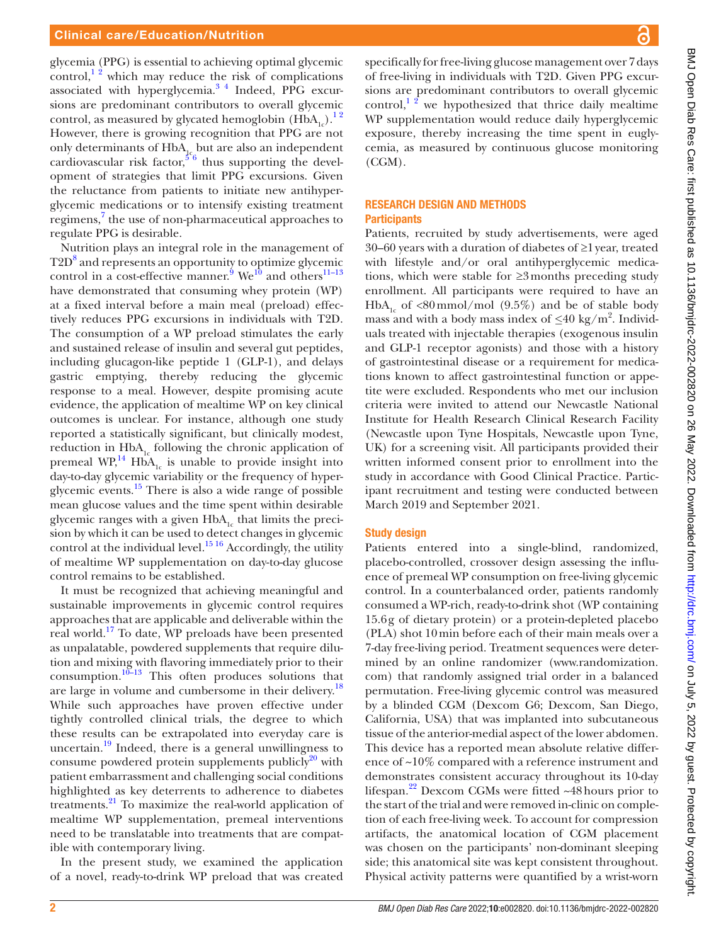glycemia (PPG) is essential to achieving optimal glycemic control,<sup>12</sup> which may reduce the risk of complications associated with hyperglycemia.<sup>34</sup> Indeed, PPG excursions are predominant contributors to overall glycemic control, as measured by glycated hemoglobin  $(HbA_{1c})$ .<sup>12</sup> However, there is growing recognition that PPG are not only determinants of  $HbA_{1c}$  but are also an independent cardiovascular risk factor,  $5^6$  thus supporting the development of strategies that limit PPG excursions. Given the reluctance from patients to initiate new antihyperglycemic medications or to intensify existing treatment regimens,<sup>[7](#page-7-3)</sup> the use of non-pharmaceutical approaches to regulate PPG is desirable.

Nutrition plays an integral role in the management of T2D<sup>8</sup> and represents an opportunity to optimize glycemic control in a cost-effective manner.<sup>[9](#page-7-5)</sup> We<sup>[10](#page-7-6)</sup> and others<sup>11–13</sup> have demonstrated that consuming whey protein (WP) at a fixed interval before a main meal (preload) effectively reduces PPG excursions in individuals with T2D. The consumption of a WP preload stimulates the early and sustained release of insulin and several gut peptides, including glucagon-like peptide 1 (GLP-1), and delays gastric emptying, thereby reducing the glycemic response to a meal. However, despite promising acute evidence, the application of mealtime WP on key clinical outcomes is unclear. For instance, although one study reported a statistically significant, but clinically modest, reduction in  $HbA_{1c}$  following the chronic application of premeal  $WP<sub>14</sub><sup>16</sup>$  HbA<sub>1c</sub> is unable to provide insight into day-to-day glycemic variability or the frequency of hyperglycemic events.[15](#page-7-9) There is also a wide range of possible mean glucose values and the time spent within desirable glycemic ranges with a given  $HbA<sub>1c</sub>$  that limits the precision by which it can be used to detect changes in glycemic control at the individual level.<sup>15 16</sup> Accordingly, the utility of mealtime WP supplementation on day-to-day glucose control remains to be established.

It must be recognized that achieving meaningful and sustainable improvements in glycemic control requires approaches that are applicable and deliverable within the real world.[17](#page-7-10) To date, WP preloads have been presented as unpalatable, powdered supplements that require dilution and mixing with flavoring immediately prior to their consumption. $10^{-13}$  This often produces solutions that are large in volume and cumbersome in their delivery.<sup>18</sup> While such approaches have proven effective under tightly controlled clinical trials, the degree to which these results can be extrapolated into everyday care is uncertain. $19$  Indeed, there is a general unwillingness to consume powdered protein supplements publicly $^{20}$  with patient embarrassment and challenging social conditions highlighted as key deterrents to adherence to diabetes treatments.[21](#page-7-14) To maximize the real-world application of mealtime WP supplementation, premeal interventions need to be translatable into treatments that are compatible with contemporary living.

In the present study, we examined the application of a novel, ready-to-drink WP preload that was created specifically for free-living glucose management over 7days of free-living in individuals with T2D. Given PPG excursions are predominant contributors to overall glycemic control, $1<sup>2</sup>$  we hypothesized that thrice daily mealtime WP supplementation would reduce daily hyperglycemic exposure, thereby increasing the time spent in euglycemia, as measured by continuous glucose monitoring (CGM).

### RESEARCH DESIGN AND METHODS **Participants**

Patients, recruited by study advertisements, were aged 30–60 years with a duration of diabetes of ≥1year, treated with lifestyle and/or oral antihyperglycemic medications, which were stable for ≥3months preceding study enrollment. All participants were required to have an HbA<sub>1c</sub> of <80mmol/mol (9.5%) and be of stable body mass and with a body mass index of *≤*40 kg/m2 . Individuals treated with injectable therapies (exogenous insulin and GLP-1 receptor agonists) and those with a history of gastrointestinal disease or a requirement for medications known to affect gastrointestinal function or appetite were excluded. Respondents who met our inclusion criteria were invited to attend our Newcastle National Institute for Health Research Clinical Research Facility (Newcastle upon Tyne Hospitals, Newcastle upon Tyne, UK) for a screening visit. All participants provided their written informed consent prior to enrollment into the study in accordance with Good Clinical Practice. Participant recruitment and testing were conducted between March 2019 and September 2021.

## Study design

Patients entered into a single-blind, randomized, placebo-controlled, crossover design assessing the influence of premeal WP consumption on free-living glycemic control. In a counterbalanced order, patients randomly consumed a WP-rich, ready-to-drink shot (WP containing 15.6g of dietary protein) or a protein-depleted placebo (PLA) shot 10min before each of their main meals over a 7-day free-living period. Treatment sequences were determined by an online randomizer [\(www.randomization.](www.randomization.com) [com\)](www.randomization.com) that randomly assigned trial order in a balanced permutation. Free-living glycemic control was measured by a blinded CGM (Dexcom G6; Dexcom, San Diego, California, USA) that was implanted into subcutaneous tissue of the anterior-medial aspect of the lower abdomen. This device has a reported mean absolute relative difference of ~10% compared with a reference instrument and demonstrates consistent accuracy throughout its 10-day lifespan.<sup>22</sup> Dexcom CGMs were fitted  $\sim$ 48 hours prior to the start of the trial and were removed in-clinic on completion of each free-living week. To account for compression artifacts, the anatomical location of CGM placement was chosen on the participants' non-dominant sleeping side; this anatomical site was kept consistent throughout. Physical activity patterns were quantified by a wrist-worn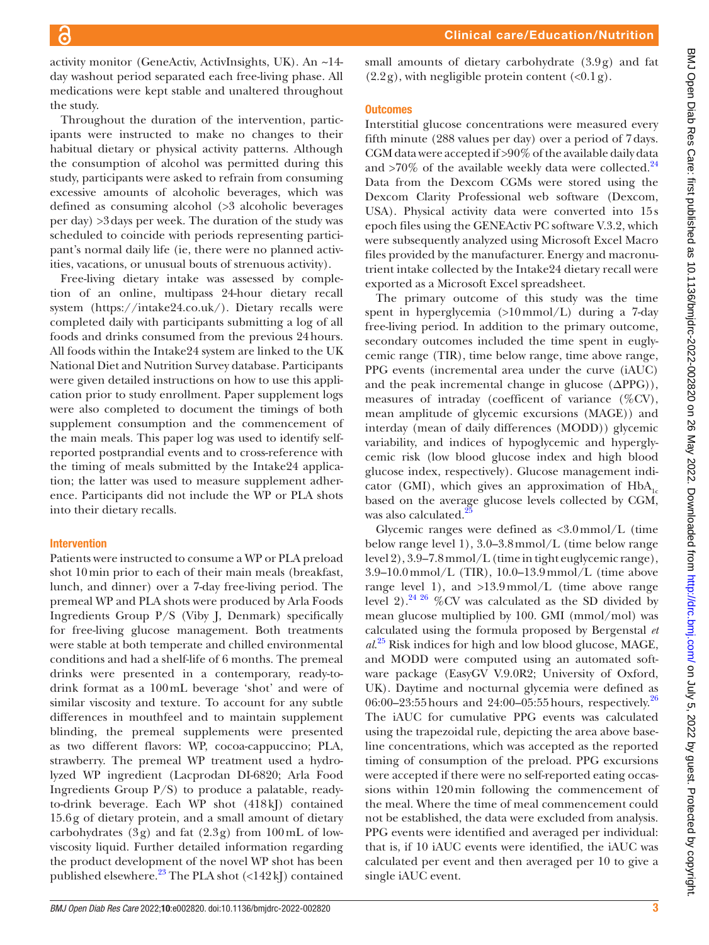activity monitor (GeneActiv, ActivInsights, UK). An ~14 day washout period separated each free-living phase. All medications were kept stable and unaltered throughout the study.

Throughout the duration of the intervention, participants were instructed to make no changes to their habitual dietary or physical activity patterns. Although the consumption of alcohol was permitted during this study, participants were asked to refrain from consuming excessive amounts of alcoholic beverages, which was defined as consuming alcohol (>3 alcoholic beverages per day) >3days per week. The duration of the study was scheduled to coincide with periods representing participant's normal daily life (ie, there were no planned activities, vacations, or unusual bouts of strenuous activity).

Free-living dietary intake was assessed by completion of an online, multipass 24-hour dietary recall system [\(https://intake24.co.uk/\)](https://intake24.co.uk/). Dietary recalls were completed daily with participants submitting a log of all foods and drinks consumed from the previous 24hours. All foods within the Intake24 system are linked to the UK National Diet and Nutrition Survey database. Participants were given detailed instructions on how to use this application prior to study enrollment. Paper supplement logs were also completed to document the timings of both supplement consumption and the commencement of the main meals. This paper log was used to identify selfreported postprandial events and to cross-reference with the timing of meals submitted by the Intake24 application; the latter was used to measure supplement adherence. Participants did not include the WP or PLA shots into their dietary recalls.

## Intervention

Patients were instructed to consume a WP or PLA preload shot 10min prior to each of their main meals (breakfast, lunch, and dinner) over a 7-day free-living period. The premeal WP and PLA shots were produced by Arla Foods Ingredients Group P/S (Viby J, Denmark) specifically for free-living glucose management. Both treatments were stable at both temperate and chilled environmental conditions and had a shelf-life of 6 months. The premeal drinks were presented in a contemporary, ready-todrink format as a 100mL beverage 'shot' and were of similar viscosity and texture. To account for any subtle differences in mouthfeel and to maintain supplement blinding, the premeal supplements were presented as two different flavors: WP, cocoa-cappuccino; PLA, strawberry. The premeal WP treatment used a hydrolyzed WP ingredient (Lacprodan DI-6820; Arla Food Ingredients Group P/S) to produce a palatable, readyto-drink beverage. Each WP shot (418kJ) contained 15.6g of dietary protein, and a small amount of dietary carbohydrates (3g) and fat (2.3g) from 100mL of lowviscosity liquid. Further detailed information regarding the product development of the novel WP shot has been published elsewhere. $^{23}$  The PLA shot (<142kJ) contained

small amounts of dietary carbohydrate (3.9g) and fat  $(2.2g)$ , with negligible protein content  $(\langle 0.1g \rangle)$ .

## **Outcomes**

Interstitial glucose concentrations were measured every fifth minute (288 values per day) over a period of 7days. CGM data were accepted if >90% of the available daily data and  $>70\%$  of the available weekly data were collected.<sup>[24](#page-7-17)</sup> Data from the Dexcom CGMs were stored using the Dexcom Clarity Professional web software (Dexcom, USA). Physical activity data were converted into 15s epoch files using the GENEActiv PC software V.3.2, which were subsequently analyzed using Microsoft Excel Macro files provided by the manufacturer. Energy and macronutrient intake collected by the Intake24 dietary recall were exported as a Microsoft Excel spreadsheet.

The primary outcome of this study was the time spent in hyperglycemia (>10mmol/L) during a 7-day free-living period. In addition to the primary outcome, secondary outcomes included the time spent in euglycemic range (TIR), time below range, time above range, PPG events (incremental area under the curve (iAUC) and the peak incremental change in glucose  $(\Delta PPG)$ ), measures of intraday (coefficent of variance (%CV), mean amplitude of glycemic excursions (MAGE)) and interday (mean of daily differences (MODD)) glycemic variability, and indices of hypoglycemic and hyperglycemic risk (low blood glucose index and high blood glucose index, respectively). Glucose management indicator (GMI), which gives an approximation of  $HbA<sub>1c</sub>$ based on the average glucose levels collected by CGM, was also calculated.<sup>2</sup>

Glycemic ranges were defined as <3.0mmol/L (time below range level 1), 3.0–3.8mmol/L (time below range level 2), 3.9–7.8mmol/L (time in tight euglycemic range), 3.9–10.0 mmol/L (TIR), 10.0–13.9 mmol/L (time above range level 1), and >13.9mmol/L (time above range level 2).<sup>24 26</sup> %CV was calculated as the SD divided by mean glucose multiplied by 100. GMI (mmol/mol) was calculated using the formula proposed by Bergenstal *et al*. [25](#page-7-18) Risk indices for high and low blood glucose, MAGE, and MODD were computed using an automated software package (EasyGV V.9.0R2; University of Oxford, UK). Daytime and nocturnal glycemia were defined as 06:00–23:55 hours and 24:00–05:55 hours, respectively.<sup>[26](#page-7-19)</sup> The iAUC for cumulative PPG events was calculated using the trapezoidal rule, depicting the area above baseline concentrations, which was accepted as the reported timing of consumption of the preload. PPG excursions were accepted if there were no self-reported eating occassions within 120min following the commencement of the meal. Where the time of meal commencement could not be established, the data were excluded from analysis. PPG events were identified and averaged per individual: that is, if 10 iAUC events were identified, the iAUC was calculated per event and then averaged per 10 to give a single iAUC event.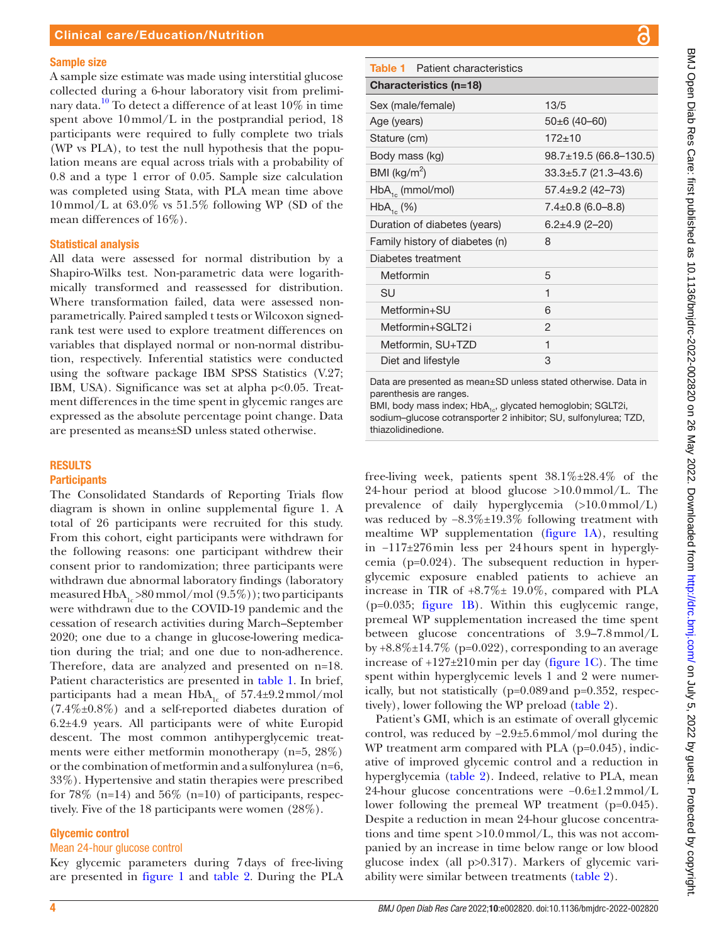#### Sample size

A sample size estimate was made using interstitial glucose collected during a 6-hour laboratory visit from preliminary data.<sup>10</sup> To detect a difference of at least  $10\%$  in time spent above 10mmol/L in the postprandial period, 18 participants were required to fully complete two trials (WP vs PLA), to test the null hypothesis that the population means are equal across trials with a probability of 0.8 and a type 1 error of 0.05. Sample size calculation was completed using Stata, with PLA mean time above  $10$  mmol/L at  $63.0\%$  vs  $51.5\%$  following WP (SD of the mean differences of 16%).

#### Statistical analysis

All data were assessed for normal distribution by a Shapiro-Wilks test. Non-parametric data were logarithmically transformed and reassessed for distribution. Where transformation failed, data were assessed nonparametrically. Paired sampled t tests or Wilcoxon signedrank test were used to explore treatment differences on variables that displayed normal or non-normal distribution, respectively. Inferential statistics were conducted using the software package IBM SPSS Statistics (V.27; IBM, USA). Significance was set at alpha p<0.05. Treatment differences in the time spent in glycemic ranges are expressed as the absolute percentage point change. Data are presented as means±SD unless stated otherwise.

#### RESULTS

#### **Participants**

The Consolidated Standards of Reporting Trials flow diagram is shown in [online supplemental figure 1](https://dx.doi.org/10.1136/bmjdrc-2022-002820). A total of 26 participants were recruited for this study. From this cohort, eight participants were withdrawn for the following reasons: one participant withdrew their consent prior to randomization; three participants were withdrawn due abnormal laboratory findings (laboratory measured  $HbA<sub>1c</sub> > 80$  mmol/mol  $(9.5\%)$ ; two participants were withdrawn due to the COVID-19 pandemic and the cessation of research activities during March–September 2020; one due to a change in glucose-lowering medication during the trial; and one due to non-adherence. Therefore, data are analyzed and presented on n=18. Patient characteristics are presented in [table](#page-3-0) 1. In brief, participants had a mean  $HbA_{1c}$  of 57.4±9.2mmol/mol (7.4%±0.8%) and a self-reported diabetes duration of 6.2±4.9 years. All participants were of white Europid descent. The most common antihyperglycemic treatments were either metformin monotherapy (n=5, 28%) or the combination of metformin and a sulfonylurea (n=6, 33%). Hypertensive and statin therapies were prescribed for 78\% (n=14) and 56\% (n=10) of participants, respectively. Five of the 18 participants were women (28%).

#### Glycemic control

## Mean 24-hour glucose control

Key glycemic parameters during 7days of free-living are presented in [figure](#page-4-0) 1 and [table](#page-4-1) 2. During the PLA

<span id="page-3-0"></span>

| <b>Table 1</b> Patient characteristics |                              |  |  |  |  |
|----------------------------------------|------------------------------|--|--|--|--|
| Characteristics (n=18)                 |                              |  |  |  |  |
| Sex (male/female)                      | 13/5                         |  |  |  |  |
| Age (years)                            | $50\pm 6(40-60)$             |  |  |  |  |
| Stature (cm)                           | $172+10$                     |  |  |  |  |
| Body mass (kg)                         | $98.7 \pm 19.5$ (66.8-130.5) |  |  |  |  |
| BMI ( $\text{kg/m}^2$ )                | $33.3 \pm 5.7$ (21.3-43.6)   |  |  |  |  |
| $HbA_{1c}$ (mmol/mol)                  | $57.4 \pm 9.2$ (42-73)       |  |  |  |  |
| $HbA_{1c}$ (%)                         | $7.4 \pm 0.8$ (6.0-8.8)      |  |  |  |  |
| Duration of diabetes (years)           | $6.2 \pm 4.9$ (2-20)         |  |  |  |  |
| Family history of diabetes (n)         | 8                            |  |  |  |  |
| Diabetes treatment                     |                              |  |  |  |  |
| Metformin                              | 5                            |  |  |  |  |
| SU                                     | 1                            |  |  |  |  |
| Metformin+SU                           | 6                            |  |  |  |  |
| Metformin+SGLT2i                       | 2                            |  |  |  |  |
| Metformin, SU+TZD                      | 1                            |  |  |  |  |
| Diet and lifestyle                     | 3                            |  |  |  |  |
|                                        |                              |  |  |  |  |

Data are presented as mean±SD unless stated otherwise. Data in parenthesis are ranges.

BMI, body mass index; HbA<sub>1c</sub>, glycated hemoglobin; SGLT2i, sodium–glucose cotransporter 2 inhibitor; SU, sulfonylurea; TZD, thiazolidinedione.

free-living week, patients spent  $38.1\% \pm 28.4\%$  of the 24-hour period at blood glucose  $>10.0$  mmol/L. The prevalence of daily hyperglycemia (>10.0mmol/L) was reduced by  $-8.3\% \pm 19.3\%$  following treatment with mealtime WP supplementation [\(figure](#page-4-0) 1A), resulting in −117±276min less per 24hours spent in hyperglycemia (p=0.024). The subsequent reduction in hyperglycemic exposure enabled patients to achieve an increase in TIR of +8.7%± 19.0%, compared with PLA (p=0.035; [figure](#page-4-0) 1B). Within this euglycemic range, premeal WP supplementation increased the time spent between glucose concentrations of 3.9–7.8mmol/L by  $+8.8\% \pm 14.7\%$  (p=0.022), corresponding to an average increase of  $+127\pm210$  min per day ([figure](#page-4-0) 1C). The time spent within hyperglycemic levels 1 and 2 were numerically, but not statistically (p=0.089and p=0.352, respectively), lower following the WP preload [\(table](#page-4-1) 2).

Patient's GMI, which is an estimate of overall glycemic control, was reduced by −2.9±5.6mmol/mol during the WP treatment arm compared with PLA (p=0.045), indicative of improved glycemic control and a reduction in hyperglycemia ([table](#page-4-1) 2). Indeed, relative to PLA, mean 24-hour glucose concentrations were −0.6±1.2mmol/L lower following the premeal WP treatment (p=0.045). Despite a reduction in mean 24-hour glucose concentrations and time spent >10.0mmol/L, this was not accompanied by an increase in time below range or low blood glucose index (all p>0.317). Markers of glycemic variability were similar between treatments [\(table](#page-4-1) 2).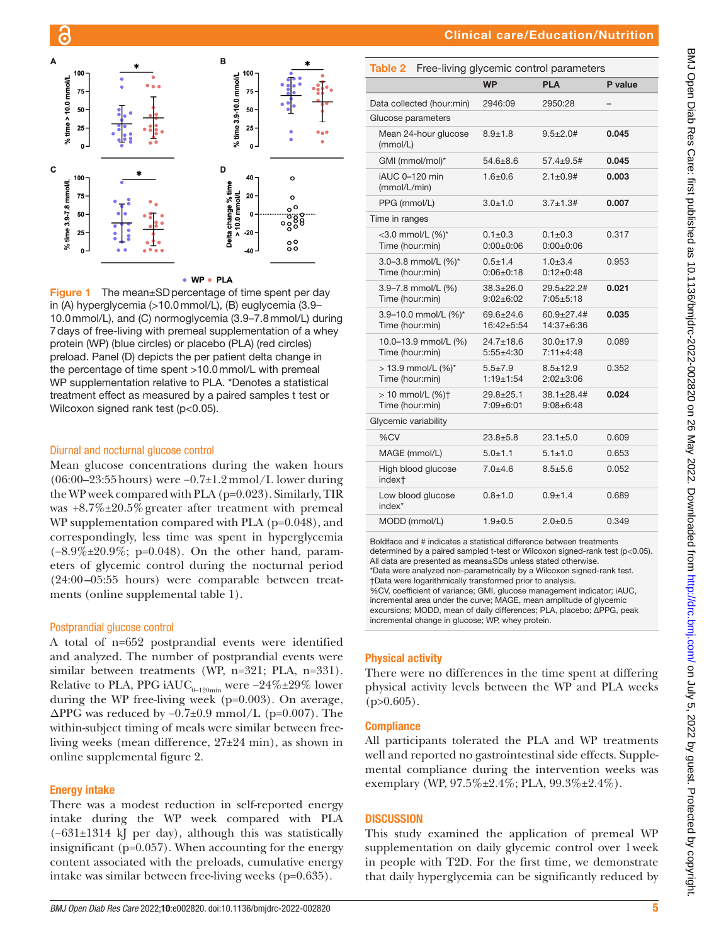

#### • WP • PLA

<span id="page-4-0"></span>Figure 1 The mean±SD percentage of time spent per day in (A) hyperglycemia (>10.0mmol/L), (B) euglycemia (3.9– 10.0mmol/L), and (C) normoglycemia (3.9–7.8mmol/L) during 7days of free-living with premeal supplementation of a whey protein (WP) (blue circles) or placebo (PLA) (red circles) preload. Panel (D) depicts the per patient delta change in the percentage of time spent >10.0mmol/L with premeal WP supplementation relative to PLA. \*Denotes a statistical treatment effect as measured by a paired samples t test or Wilcoxon signed rank test (p<0.05).

#### Diurnal and nocturnal glucose control

Mean glucose concentrations during the waken hours (06:00–23:55hours) were −0.7±1.2mmol/L lower during the WP week compared with PLA (p=0.023). Similarly, TIR was +8.7%±20.5%greater after treatment with premeal WP supplementation compared with PLA (p=0.048), and correspondingly, less time was spent in hyperglycemia (−8.9%±20.9%; p=0.048). On the other hand, parameters of glycemic control during the nocturnal period (24:00–05:55 hours) were comparable between treatments [\(online supplemental table 1](https://dx.doi.org/10.1136/bmjdrc-2022-002820)).

#### Postprandial glucose control

A total of n=652 postprandial events were identified and analyzed. The number of postprandial events were similar between treatments (WP, n=321; PLA, n=331). Relative to PLA, PPG iAUC<sub>0–120min</sub> were −24%±29% lower during the WP free-living week (p=0.003). On average,  $\Delta$ PPG was reduced by -0.7±0.9 mmol/L (p=0.007). The within-subject timing of meals were similar between freeliving weeks (mean difference, 27±24 min), as shown in [online supplemental figure 2](https://dx.doi.org/10.1136/bmjdrc-2022-002820).

#### Energy intake

There was a modest reduction in self-reported energy intake during the WP week compared with PLA (−631±1314 kJ per day), although this was statistically insignificant (p=0.057). When accounting for the energy content associated with the preloads, cumulative energy intake was similar between free-living weeks (p=0.635).

<span id="page-4-1"></span>

| Table 2                                  | Free-living glycemic control parameters |                                   |                                       |         |
|------------------------------------------|-----------------------------------------|-----------------------------------|---------------------------------------|---------|
|                                          |                                         | <b>WP</b>                         | <b>PLA</b>                            | P value |
|                                          | Data collected (hour:min)               | 2946:09                           | 2950:28                               |         |
| Glucose parameters                       |                                         |                                   |                                       |         |
| (mmol/L)                                 | Mean 24-hour glucose                    | $8.9 + 1.8$                       | $9.5 + 2.0$ #                         | 0.045   |
| GMI (mmol/mol)*                          |                                         | $54.6 + 8.6$                      | $57.4 + 9.5#$                         | 0.045   |
| iAUC 0-120 min<br>(mmol/L/min)           |                                         | $1.6 + 0.6$                       | $2.1 \pm 0.9$ #                       | 0.003   |
| PPG (mmol/L)                             |                                         | $3.0 + 1.0$                       | $3.7 + 1.3#$                          | 0.007   |
| Time in ranges                           |                                         |                                   |                                       |         |
| <3.0 mmol/L (%)*<br>Time (hour:min)      |                                         | $0.1 + 0.3$<br>$0:00+0:06$        | $0.1 + 0.3$<br>$0:00+0:06$            | 0.317   |
| Time (hour:min)                          | 3.0-3.8 mmol/L (%)*                     | $0.5 + 1.4$<br>$0:06+0:18$        | $1.0 + 3.4$<br>$0:12+0:48$            | 0.953   |
| Time (hour:min)                          | 3.9-7.8 mmol/L (%)                      | $38.3 + 26.0$<br>$9:02 \pm 6:02$  | $29.5 + 22.2$ #<br>$7:05 + 5:18$      | 0.021   |
| Time (hour:min)                          | 3.9-10.0 mmol/L (%)*                    | $69.6 \pm 24.6$<br>$16:42 + 5:54$ | $60.9 \pm 27.4$ #<br>$14:37+6:36$     | 0.035   |
| Time (hour:min)                          | 10.0-13.9 mmol/L (%)                    | $24.7 \pm 18.6$<br>$5:55+4:30$    | $30.0 + 17.9$<br>$7:11+4:48$          | 0.089   |
| Time (hour:min)                          | > 13.9 mmol/L (%)*                      | $5.5 \pm 7.9$<br>$1:19+1:54$      | $8.5 + 12.9$<br>$2:02 \pm 3:06$       | 0.352   |
| $> 10$ mmol/L $(%)$ †<br>Time (hour:min) |                                         | $29.8 \pm 25.1$<br>7:09±6:01      | $38.1 \pm 28.4 \#$<br>$9:08 \pm 6:48$ | 0.024   |
| Glycemic variability                     |                                         |                                   |                                       |         |
| %CV                                      |                                         | $23.8 + 5.8$                      | $23.1 + 5.0$                          | 0.609   |
| MAGE (mmol/L)                            |                                         | $5.0 + 1.1$                       | $5.1 + 1.0$                           | 0.653   |
| index <sup>+</sup>                       | High blood glucose                      | $7.0 + 4.6$                       | $8.5 + 5.6$                           | 0.052   |
| index*                                   | Low blood glucose                       | $0.8 + 1.0$                       | $0.9 + 1.4$                           | 0.689   |
| MODD (mmol/L)                            |                                         | $1.9 + 0.5$                       | $2.0 + 0.5$                           | 0.349   |

Boldface and # indicates a statistical difference between treatments determined by a paired sampled t-test or Wilcoxon signed-rank test (p<0.05). All data are presented as means±SDs unless stated otherwise. \*Data were analyzed non-parametrically by a Wilcoxon signed-rank test. †Data were logarithmically transformed prior to analysis. %CV, coefficient of variance; GMI, glucose management indicator; iAUC, incremental area under the curve; MAGE, mean amplitude of glycemic excursions; MODD, mean of daily differences; PLA, placebo; ∆PPG, peak incremental change in glucose; WP, whey protein.

## Physical activity

There were no differences in the time spent at differing physical activity levels between the WP and PLA weeks  $(p>0.605)$ .

#### **Compliance**

All participants tolerated the PLA and WP treatments well and reported no gastrointestinal side effects. Supplemental compliance during the intervention weeks was exemplary (WP, 97.5%±2.4%; PLA, 99.3%±2.4%).

#### **DISCUSSION**

This study examined the application of premeal WP supplementation on daily glycemic control over 1week in people with T2D. For the first time, we demonstrate that daily hyperglycemia can be significantly reduced by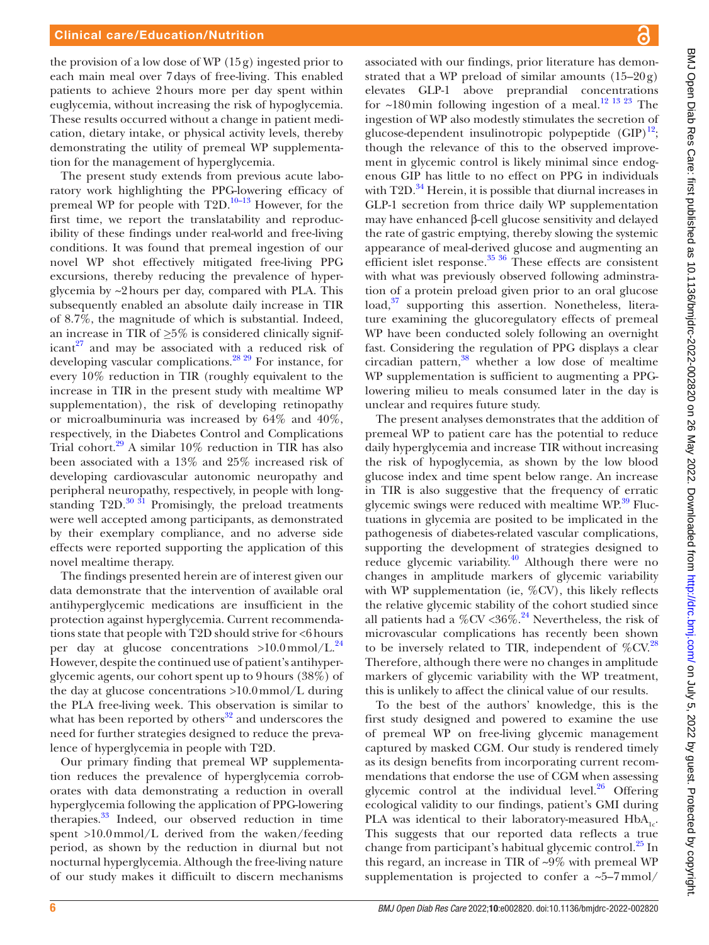the provision of a low dose of WP  $(15g)$  ingested prior to each main meal over 7days of free-living. This enabled patients to achieve 2hours more per day spent within euglycemia, without increasing the risk of hypoglycemia. These results occurred without a change in patient medication, dietary intake, or physical activity levels, thereby demonstrating the utility of premeal WP supplementation for the management of hyperglycemia.

The present study extends from previous acute laboratory work highlighting the PPG-lowering efficacy of premeal WP for people with  $T2D$ <sup>10–13</sup> However, for the first time, we report the translatability and reproducibility of these findings under real-world and free-living conditions. It was found that premeal ingestion of our novel WP shot effectively mitigated free-living PPG excursions, thereby reducing the prevalence of hyperglycemia by ~2hours per day, compared with PLA. This subsequently enabled an absolute daily increase in TIR of 8.7%, the magnitude of which is substantial. Indeed, an increase in TIR of *≥*5% is considered clinically significant $27$  and may be associated with a reduced risk of developing vascular complications[.28 29](#page-7-21) For instance, for every 10% reduction in TIR (roughly equivalent to the increase in TIR in the present study with mealtime WP supplementation), the risk of developing retinopathy or microalbuminuria was increased by 64% and 40%, respectively, in the Diabetes Control and Complications Trial cohort.<sup>[29](#page-7-22)</sup> A similar 10% reduction in TIR has also been associated with a 13% and 25% increased risk of developing cardiovascular autonomic neuropathy and peripheral neuropathy, respectively, in people with longstanding  $T2D$ .<sup>[30 31](#page-7-23)</sup> Promisingly, the preload treatments were well accepted among participants, as demonstrated by their exemplary compliance, and no adverse side effects were reported supporting the application of this novel mealtime therapy.

The findings presented herein are of interest given our data demonstrate that the intervention of available oral antihyperglycemic medications are insufficient in the protection against hyperglycemia. Current recommendations state that people with T2D should strive for <6hours per day at glucose concentrations  $>10.0 \text{mmol/L}^{24}$  $>10.0 \text{mmol/L}^{24}$  $>10.0 \text{mmol/L}^{24}$ However, despite the continued use of patient's antihyperglycemic agents, our cohort spent up to 9hours (38%) of the day at glucose concentrations >10.0mmol/L during the PLA free-living week. This observation is similar to what has been reported by others $32$  and underscores the need for further strategies designed to reduce the prevalence of hyperglycemia in people with T2D.

Our primary finding that premeal WP supplementation reduces the prevalence of hyperglycemia corroborates with data demonstrating a reduction in overall hyperglycemia following the application of PPG-lowering therapies.<sup>33</sup> Indeed, our observed reduction in time spent >10.0mmol/L derived from the waken/feeding period, as shown by the reduction in diurnal but not nocturnal hyperglycemia. Although the free-living nature of our study makes it difficuilt to discern mechanisms

associated with our findings, prior literature has demonstrated that a WP preload of similar amounts  $(15-20g)$ elevates GLP-1 above preprandial concentrations for  $\sim$ 180 min following ingestion of a meal.<sup>12 13 23</sup> The ingestion of WP also modestly stimulates the secretion of glucose-dependent insulinotropic polypeptide  $(GIP)^{12}$ ; though the relevance of this to the observed improvement in glycemic control is likely minimal since endogenous GIP has little to no effect on PPG in individuals with  $T2D.<sup>34</sup>$  $T2D.<sup>34</sup>$  $T2D.<sup>34</sup>$  Herein, it is possible that diurnal increases in GLP-1 secretion from thrice daily WP supplementation may have enhanced β-cell glucose sensitivity and delayed the rate of gastric emptying, thereby slowing the systemic appearance of meal-derived glucose and augmenting an efficient islet response. $35 \frac{36}{10}$  These effects are consistent with what was previously observed following adminstration of a protein preload given prior to an oral glucose load,<sup>37</sup> supporting this assertion. Nonetheless, literature examining the glucoregulatory effects of premeal WP have been conducted solely following an overnight fast. Considering the regulation of PPG displays a clear circadian pattern, $38$  whether a low dose of mealtime WP supplementation is sufficient to augmenting a PPGlowering milieu to meals consumed later in the day is unclear and requires future study.

The present analyses demonstrates that the addition of premeal WP to patient care has the potential to reduce daily hyperglycemia and increase TIR without increasing the risk of hypoglycemia, as shown by the low blood glucose index and time spent below range. An increase in TIR is also suggestive that the frequency of erratic glycemic swings were reduced with mealtime WP.<sup>39</sup> Fluctuations in glycemia are posited to be implicated in the pathogenesis of diabetes-related vascular complications, supporting the development of strategies designed to reduce glycemic variability.<sup>[40](#page-7-32)</sup> Although there were no changes in amplitude markers of glycemic variability with WP supplementation (ie, %CV), this likely reflects the relative glycemic stability of the cohort studied since all patients had a %CV <36%.<sup>24</sup> Nevertheless, the risk of microvascular complications has recently been shown to be inversely related to TIR, independent of  $\%$ CV.<sup>28</sup> Therefore, although there were no changes in amplitude markers of glycemic variability with the WP treatment, this is unlikely to affect the clinical value of our results.

To the best of the authors' knowledge, this is the first study designed and powered to examine the use of premeal WP on free-living glycemic management captured by masked CGM. Our study is rendered timely as its design benefits from incorporating current recommendations that endorse the use of CGM when assessing glycemic control at the individual level. $26$  Offering ecological validity to our findings, patient's GMI during PLA was identical to their laboratory-measured  $HbA_{1c}$ . This suggests that our reported data reflects a true change from participant's habitual glycemic control.<sup>[25](#page-7-18)</sup> In this regard, an increase in TIR of ~9% with premeal WP supplementation is projected to confer a  $\sim 5-7$  mmol/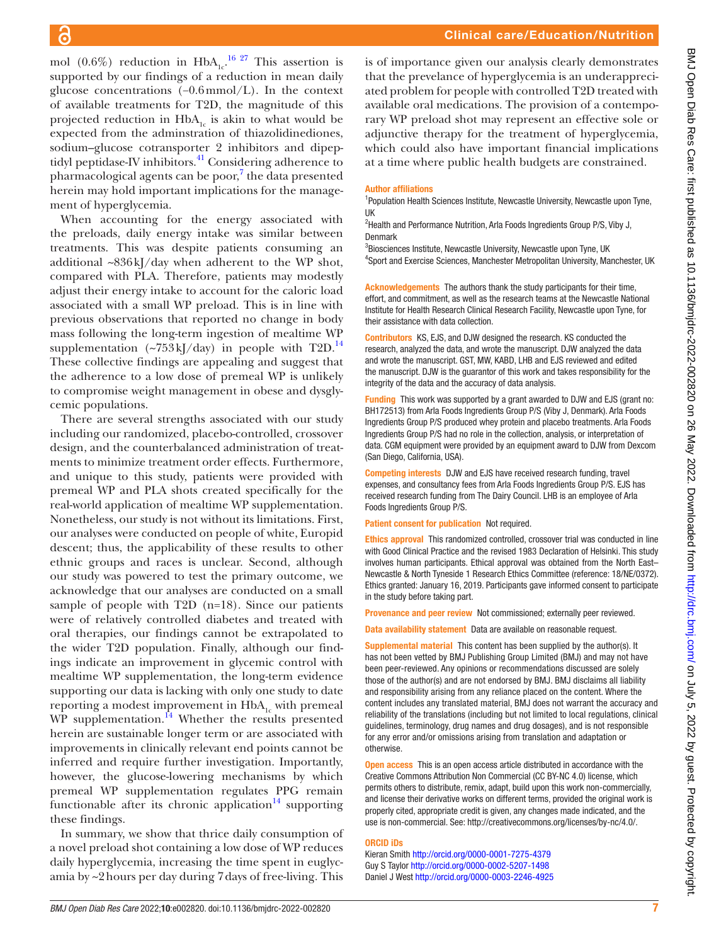mol (0.6%) reduction in  $HbA_{1c}$ <sup>16 27</sup> This assertion is supported by our findings of a reduction in mean daily glucose concentrations (−0.6mmol/L). In the context of available treatments for T2D, the magnitude of this projected reduction in  $HbA_{1c}$  is akin to what would be expected from the adminstration of thiazolidinediones, sodium–glucose cotransporter 2 inhibitors and dipeptidyl peptidase-IV inhibitors.<sup>41</sup> Considering adherence to pharmacological agents can be poor,<sup>[7](#page-7-3)</sup> the data presented herein may hold important implications for the management of hyperglycemia.

When accounting for the energy associated with the preloads, daily energy intake was similar between treatments. This was despite patients consuming an additional ~836kJ/day when adherent to the WP shot, compared with PLA. Therefore, patients may modestly adjust their energy intake to account for the caloric load associated with a small WP preload. This is in line with previous observations that reported no change in body mass following the long-term ingestion of mealtime WP supplementation  $({\sim}753 \text{ kJ/day})$  in people with T2D.<sup>14</sup> These collective findings are appealing and suggest that the adherence to a low dose of premeal WP is unlikely to compromise weight management in obese and dysglycemic populations.

There are several strengths associated with our study including our randomized, placebo-controlled, crossover design, and the counterbalanced administration of treatments to minimize treatment order effects. Furthermore, and unique to this study, patients were provided with premeal WP and PLA shots created specifically for the real-world application of mealtime WP supplementation. Nonetheless, our study is not without its limitations. First, our analyses were conducted on people of white, Europid descent; thus, the applicability of these results to other ethnic groups and races is unclear. Second, although our study was powered to test the primary outcome, we acknowledge that our analyses are conducted on a small sample of people with T2D (n=18). Since our patients were of relatively controlled diabetes and treated with oral therapies, our findings cannot be extrapolated to the wider T2D population. Finally, although our findings indicate an improvement in glycemic control with mealtime WP supplementation, the long-term evidence supporting our data is lacking with only one study to date reporting a modest improvement in  $HbA_{1c}$  with premeal WP supplementation. $^{14}$  Whether the results presented herein are sustainable longer term or are associated with improvements in clinically relevant end points cannot be inferred and require further investigation. Importantly, however, the glucose-lowering mechanisms by which premeal WP supplementation regulates PPG remain functionable after its chronic application $14$  supporting these findings.

In summary, we show that thrice daily consumption of a novel preload shot containing a low dose of WP reduces daily hyperglycemia, increasing the time spent in euglycamia by ~2hours per day during 7days of free-living. This

is of importance given our analysis clearly demonstrates that the prevelance of hyperglycemia is an underappreciated problem for people with controlled T2D treated with available oral medications. The provision of a contemporary WP preload shot may represent an effective sole or adjunctive therapy for the treatment of hyperglycemia, which could also have important financial implications at a time where public health budgets are constrained.

#### Author affiliations

<sup>1</sup>Population Health Sciences Institute, Newcastle University, Newcastle upon Tyne, UK

<sup>2</sup>Health and Performance Nutrition, Arla Foods Ingredients Group P/S, Viby J, Denmark

<sup>3</sup>Biosciences Institute, Newcastle University, Newcastle upon Tyne, UK <sup>4</sup>Sport and Exercise Sciences, Manchester Metropolitan University, Manchester, UK

Acknowledgements The authors thank the study participants for their time, effort, and commitment, as well as the research teams at the Newcastle National Institute for Health Research Clinical Research Facility, Newcastle upon Tyne, for their assistance with data collection.

Contributors KS, EJS, and DJW designed the research. KS conducted the research, analyzed the data, and wrote the manuscript. DJW analyzed the data and wrote the manuscript. GST, MW, KABD, LHB and EJS reviewed and edited the manuscript. DJW is the guarantor of this work and takes responsibility for the integrity of the data and the accuracy of data analysis.

Funding This work was supported by a grant awarded to DJW and EJS (grant no: BH172513) from Arla Foods Ingredients Group P/S (Viby J, Denmark). Arla Foods Ingredients Group P/S produced whey protein and placebo treatments. Arla Foods Ingredients Group P/S had no role in the collection, analysis, or interpretation of data. CGM equipment were provided by an equipment award to DJW from Dexcom (San Diego, California, USA).

Competing interests DJW and EJS have received research funding, travel expenses, and consultancy fees from Arla Foods Ingredients Group P/S. EJS has received research funding from The Dairy Council. LHB is an employee of Arla Foods Ingredients Group P/S.

Patient consent for publication Not required.

Ethics approval This randomized controlled, crossover trial was conducted in line with Good Clinical Practice and the revised 1983 Declaration of Helsinki. This study involves human participants. Ethical approval was obtained from the North East– Newcastle & North Tyneside 1 Research Ethics Committee (reference: 18/NE/0372). Ethics granted: January 16, 2019. Participants gave informed consent to participate in the study before taking part.

Provenance and peer review Not commissioned; externally peer reviewed.

Data availability statement Data are available on reasonable request.

Supplemental material This content has been supplied by the author(s). It has not been vetted by BMJ Publishing Group Limited (BMJ) and may not have been peer-reviewed. Any opinions or recommendations discussed are solely those of the author(s) and are not endorsed by BMJ. BMJ disclaims all liability and responsibility arising from any reliance placed on the content. Where the content includes any translated material, BMJ does not warrant the accuracy and reliability of the translations (including but not limited to local regulations, clinical guidelines, terminology, drug names and drug dosages), and is not responsible for any error and/or omissions arising from translation and adaptation or otherwise.

Open access This is an open access article distributed in accordance with the Creative Commons Attribution Non Commercial (CC BY-NC 4.0) license, which permits others to distribute, remix, adapt, build upon this work non-commercially, and license their derivative works on different terms, provided the original work is properly cited, appropriate credit is given, any changes made indicated, and the use is non-commercial. See: <http://creativecommons.org/licenses/by-nc/4.0/>.

#### ORCID iDs

Kieran Smith <http://orcid.org/0000-0001-7275-4379> Guy S Taylor<http://orcid.org/0000-0002-5207-1498> Daniel J West<http://orcid.org/0000-0003-2246-4925>